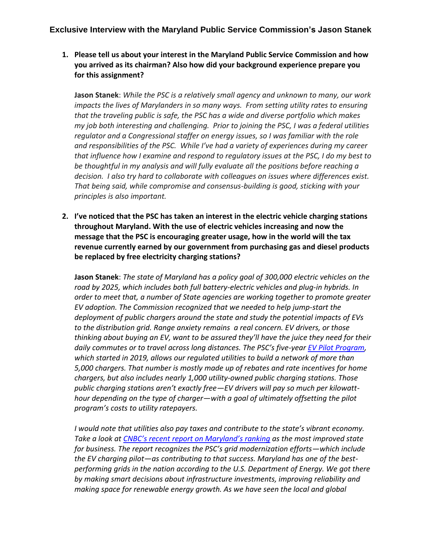# **Exclusive Interview with the Maryland Public Service Commission's Jason Stanek**

**1. Please tell us about your interest in the Maryland Public Service Commission and how you arrived as its chairman? Also how did your background experience prepare you for this assignment?**

**Jason Stanek**: *While the PSC is a relatively small agency and unknown to many, our work impacts the lives of Marylanders in so many ways. From setting utility rates to ensuring that the traveling public is safe, the PSC has a wide and diverse portfolio which makes my job both interesting and challenging. Prior to joining the PSC, I was a federal utilities regulator and a Congressional staffer on energy issues, so I was familiar with the role and responsibilities of the PSC. While I've had a variety of experiences during my career that influence how I examine and respond to regulatory issues at the PSC, I do my best to be thoughtful in my analysis and will fully evaluate all the positions before reaching a decision. I also try hard to collaborate with colleagues on issues where differences exist. That being said, while compromise and consensus-building is good, sticking with your principles is also important.* 

**2. I've noticed that the PSC has taken an interest in the electric vehicle charging stations throughout Maryland. With the use of electric vehicles increasing and now the message that the PSC is encouraging greater usage, how in the world will the tax revenue currently earned by our government from purchasing gas and diesel products be replaced by free electricity charging stations?**

**Jason Stanek**: *The state of Maryland has a policy goal of 300,000 electric vehicles on the road by 2025, which includes both full battery-electric vehicles and plug-in hybrids. In order to meet that, a number of State agencies are working together to promote greater EV adoption. The Commission recognized that we needed to help jump-start the deployment of public chargers around the state and study the potential impacts of EVs to the distribution grid. Range anxiety remains a real concern. EV drivers, or those thinking about buying an EV, want to be assured they'll have the juice they need for their daily commutes or to travel across long distances. The PSC's five-yea[r EV Pilot Program,](https://www.psc.state.md.us/search-results/?q=9478&x.x=4&x.y=12&search=all&search=case) which started in 2019, allows our regulated utilities to build a network of more than 5,000 chargers. That number is mostly made up of rebates and rate incentives for home chargers, but also includes nearly 1,000 utility-owned public charging stations. Those public charging stations aren't exactly free—EV drivers will pay so much per kilowatthour depending on the type of charger—with a goal of ultimately offsetting the pilot program's costs to utility ratepayers.* 

*I would note that utilities also pay taxes and contribute to the state's vibrant economy. Take a look at [CNBC's recent report on Maryland's ranking](https://www.cnbc.com/2021/07/13/infrastructure-makes-maryland-the-most-improved-state-for-business.html) as the most improved state for business. The report recognizes the PSC's grid modernization efforts—which include the EV charging pilot—as contributing to that success. Maryland has one of the bestperforming grids in the nation according to the U.S. Department of Energy. We got there by making smart decisions about infrastructure investments, improving reliability and making space for renewable energy growth. As we have seen the local and global*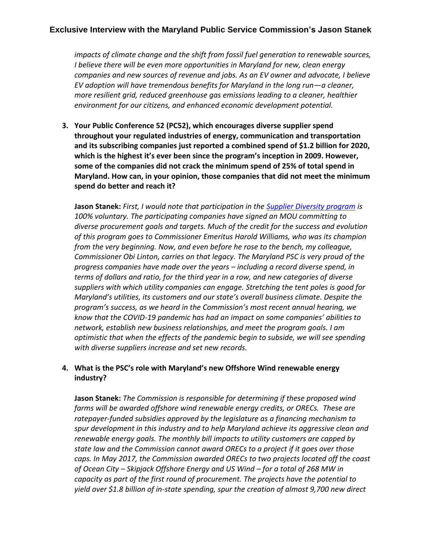# **Exclusive Interview with the Maryland Public Service Commission's Jason Stanek**

*impacts of climate change and the shift from fossil fuel generation to renewable sources, I believe there will be even more opportunities in Maryland for new, clean energy companies and new sources of revenue and jobs. As an EV owner and advocate, I believe EV adoption will have tremendous benefits for Maryland in the long run—a cleaner, more resilient grid, reduced greenhouse gas emissions leading to a cleaner, healthier environment for our citizens, and enhanced economic development potential.* 

**3. Your Public Conference 52 (PC52), which encourages diverse supplier spend throughout your regulated industries of energy, communication and transportation and its subscribing companies just reported a combined spend of \$1.2 billion for 2020, which is the highest it's ever been since the program's inception in 2009. However, some of the companies did not crack the minimum spend of 25% of total spend in Maryland. How can, in your opinion, those companies that did not meet the minimum spend do better and reach it?**

**Jason Stanek:** *First, I would note that participation in the [Supplier Diversity program](https://www.psc.state.md.us/search-results/?q=pc52&x.x=17&x.y=19&search=all&search=rulemaking) is 100% voluntary. The participating companies have signed an MOU committing to diverse procurement goals and targets. Much of the credit for the success and evolution of this program goes to Commissioner Emeritus Harold Williams, who was its champion from the very beginning. Now, and even before he rose to the bench, my colleague, Commissioner Obi Linton, carries on that legacy. The Maryland PSC is very proud of the progress companies have made over the years – including a record diverse spend, in terms of dollars and ratio, for the third year in a row, and new categories of diverse suppliers with which utility companies can engage. Stretching the tent poles is good for Maryland's utilities, its customers and our state's overall business climate. Despite the program's success, as we heard in the Commission's most recent annual hearing, we know that the COVID-19 pandemic has had an impact on some companies' abilities to network, establish new business relationships, and meet the program goals. I am optimistic that when the effects of the pandemic begin to subside, we will see spending with diverse suppliers increase and set new records.* 

### **4. What is the PSC's role with Maryland's new Offshore Wind renewable energy industry?**

**Jason Stanek:** *The Commission is responsible for determining if these proposed wind farms will be awarded offshore wind renewable energy credits, or ORECs. These are ratepayer-funded subsidies approved by the legislature as a financing mechanism to spur development in this industry and to help Maryland achieve its aggressive clean and renewable energy goals. The monthly bill impacts to utility customers are capped by state law and the Commission cannot award ORECs to a project if it goes over those caps. In May 2017, the Commission awarded ORECs to two projects located off the coast of Ocean City – Skipjack Offshore Energy and US Wind – for a total of 268 MW in capacity as part of the first round of procurement. The projects have the potential to yield over \$1.8 billion of in-state spending, spur the creation of almost 9,700 new direct*